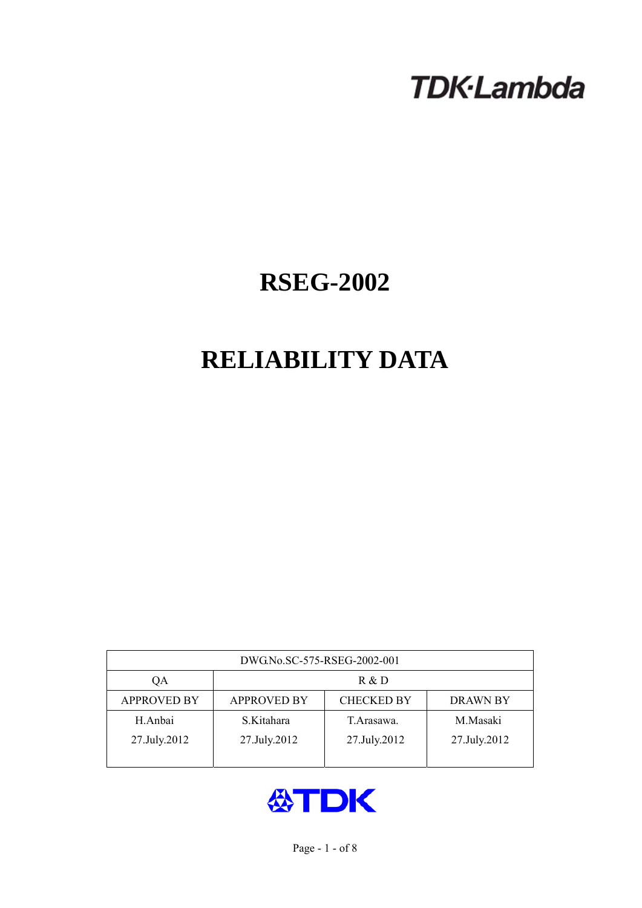# **TDK-Lambda**

## **RSEG-2002**

## **RELIABILITY DATA**

| DWG.No.SC-575-RSEG-2002-001 |                                                            |              |              |  |  |  |
|-----------------------------|------------------------------------------------------------|--------------|--------------|--|--|--|
| QA                          | R & D                                                      |              |              |  |  |  |
| <b>APPROVED BY</b>          | <b>APPROVED BY</b><br><b>CHECKED BY</b><br><b>DRAWN BY</b> |              |              |  |  |  |
| H.Anbai                     | S.Kitahara                                                 | T. Arasawa.  | M.Masaki     |  |  |  |
| 27.July.2012                | 27.July.2012                                               | 27.July.2012 | 27.July.2012 |  |  |  |
|                             |                                                            |              |              |  |  |  |

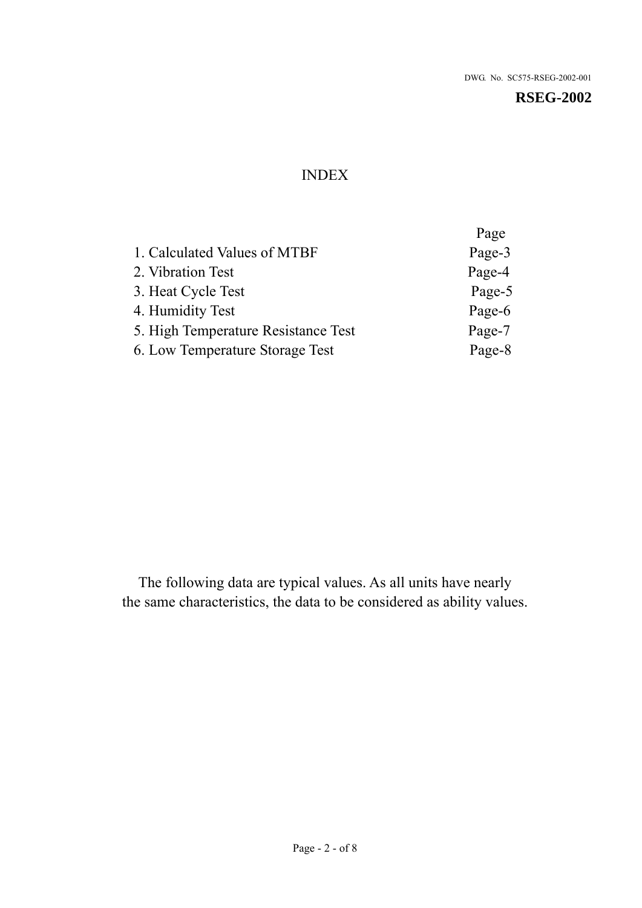## INDEX

|                                     | Page   |
|-------------------------------------|--------|
| 1. Calculated Values of MTBF        | Page-3 |
| 2. Vibration Test                   | Page-4 |
| 3. Heat Cycle Test                  | Page-5 |
| 4. Humidity Test                    | Page-6 |
| 5. High Temperature Resistance Test | Page-7 |
| 6. Low Temperature Storage Test     | Page-8 |

The following data are typical values. As all units have nearly the same characteristics, the data to be considered as ability values.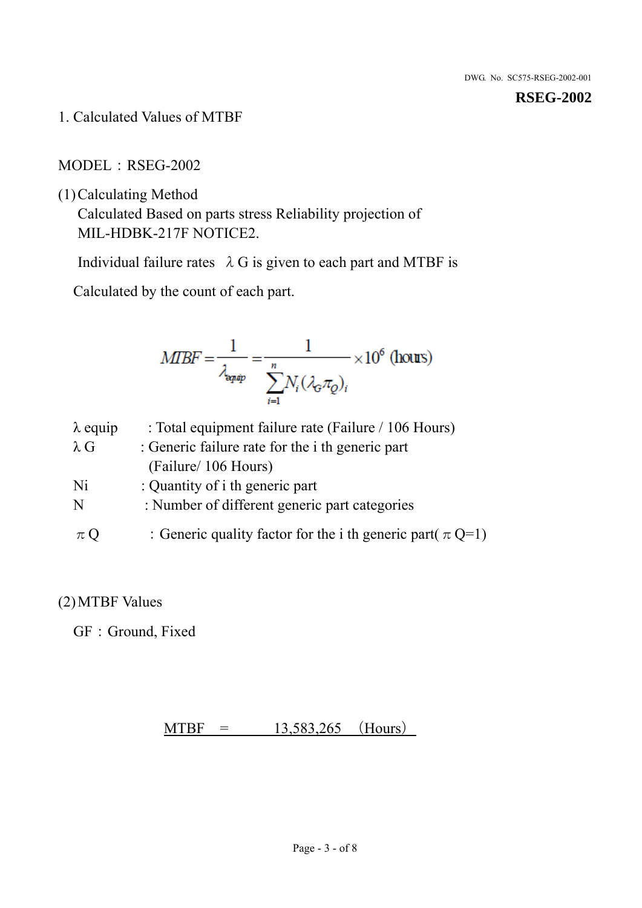1. Calculated Values of MTBF

MODEL:RSEG-2002

(1)Calculating Method

Calculated Based on parts stress Reliability projection of MIL-HDBK-217F NOTICE2.

Individual failure rates  $\lambda$  G is given to each part and MTBF is

Calculated by the count of each part.

$$
MIBF = \frac{1}{\lambda_{\text{expap}}} = \frac{1}{\sum_{i=1}^{n} N_i (\lambda_{\text{G}} \pi_Q)_i} \times 10^6 \text{ (hours)}
$$

| $\lambda$ equip | : Total equipment failure rate (Failure / 106 Hours)            |
|-----------------|-----------------------------------------------------------------|
| $\lambda$ G     | : Generic failure rate for the <i>i</i> th generic part         |
|                 | (Failure/ 106 Hours)                                            |
| Ni              | : Quantity of i th generic part                                 |
| N               | : Number of different generic part categories                   |
| $\pi Q$         | : Generic quality factor for the i th generic part( $\pi Q=1$ ) |

## (2)MTBF Values

GF: Ground, Fixed

 $MTBF = 13,583,265$  (Hours)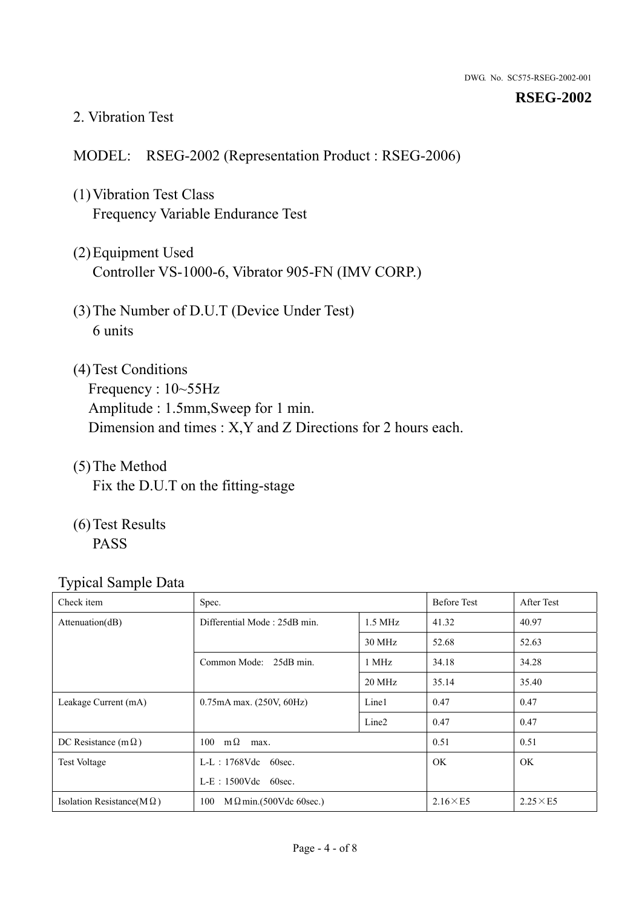#### 2. Vibration Test

#### MODEL: RSEG-2002 (Representation Product : RSEG-2006)

- (1)Vibration Test Class Frequency Variable Endurance Test
- (2)Equipment Used Controller VS-1000-6, Vibrator 905-FN (IMV CORP.)
- (3)The Number of D.U.T (Device Under Test) 6 units
- (4) Test Conditions Frequency : 10~55Hz Amplitude : 1.5mm,Sweep for 1 min. Dimension and times : X,Y and Z Directions for 2 hours each.
- (5)The Method Fix the D.U.T on the fitting-stage
- (6)Test Results PASS

| Check item                        | Spec.                                 |                   | <b>Before Test</b> | After Test      |
|-----------------------------------|---------------------------------------|-------------------|--------------------|-----------------|
| Attention(dB)                     | Differential Mode: 25dB min.          |                   | 41.32              | 40.97           |
|                                   |                                       | 30 MHz            | 52.68              | 52.63           |
|                                   | Common Mode: 25dB min.                | 1 MHz             | 34.18              | 34.28           |
|                                   |                                       | 20 MHz            | 35.14              | 35.40           |
| Leakage Current (mA)              | $0.75$ mA max. $(250V, 60Hz)$         | Line1             | 0.47               | 0.47            |
|                                   |                                       | Line <sub>2</sub> | 0.47               | 0.47            |
| DC Resistance (m $\Omega$ )       | $100 \quad m\Omega$<br>max.           |                   | 0.51               | 0.51            |
| <b>Test Voltage</b>               | $L-L$ : 1768Vdc 60sec.                |                   | <b>OK</b>          | OK.             |
|                                   | $L-E$ : 1500Vdc 60sec.                |                   |                    |                 |
| Isolation Resistance(M $\Omega$ ) | 100<br>$M \Omega$ min.(500Vdc 60sec.) |                   | $2.16\times E5$    | $2.25\times E5$ |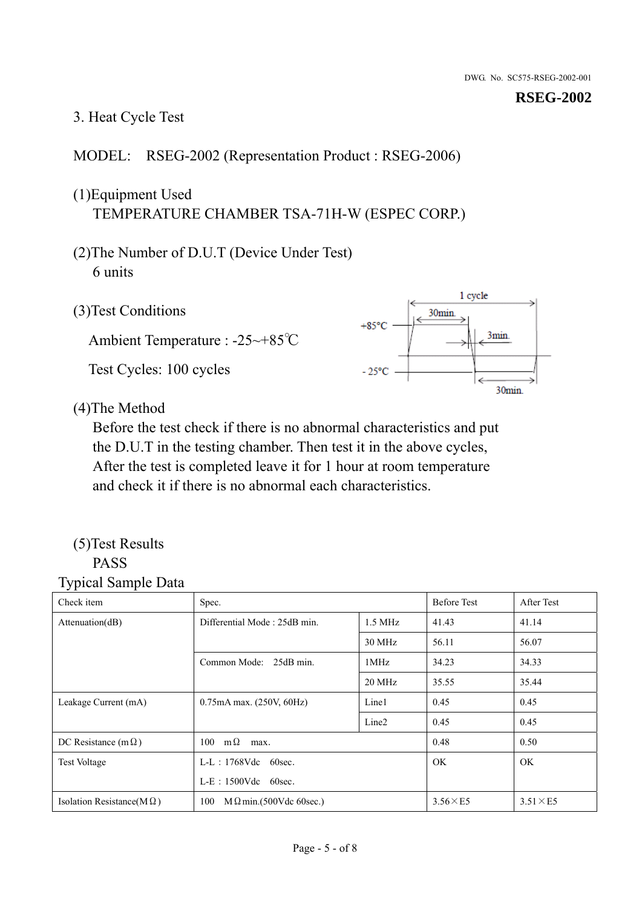## 3. Heat Cycle Test

## MODEL: RSEG-2002 (Representation Product : RSEG-2006)

## (1)Equipment Used TEMPERATURE CHAMBER TSA-71H-W (ESPEC CORP.)

- (2)The Number of D.U.T (Device Under Test) 6 units
- 1 cycle (3)Test Conditions 30<sub>min</sub>  $+85^{\circ}$ C 3min. Ambient Temperature : -25~+85℃ Test Cycles: 100 cycles  $-25^{\circ}$ C 30min.

(4)The Method

Before the test check if there is no abnormal characteristics and put the D.U.T in the testing chamber. Then test it in the above cycles, After the test is completed leave it for 1 hour at room temperature and check it if there is no abnormal each characteristics.

#### (5)Test Results PASS

| ┙┸<br>$\mathbf{I}$<br>Check item  | Spec.                                |                   | <b>Before Test</b> | After Test      |
|-----------------------------------|--------------------------------------|-------------------|--------------------|-----------------|
| Attention(dB)                     | Differential Mode: 25dB min.         | $1.5$ MHz         | 41.43              | 41.14           |
|                                   |                                      | 30 MHz            | 56.11              | 56.07           |
|                                   | Common Mode: 25dB min.               | 1MHz              | 34.23              | 34.33           |
|                                   |                                      | 20 MHz            | 35.55              | 35.44           |
| Leakage Current (mA)              | $0.75mA$ max. $(250V, 60Hz)$         | Line1             | 0.45               | 0.45            |
|                                   |                                      | Line <sub>2</sub> | 0.45               | 0.45            |
| DC Resistance (m $\Omega$ )       | $100 \quad m\Omega$<br>max.          |                   | 0.48               | 0.50            |
| <b>Test Voltage</b>               | $L-L$ : 1768Vdc 60sec.               |                   | OK.                | OK.             |
|                                   | $L-E$ : 1500Vdc 60sec.               |                   |                    |                 |
| Isolation Resistance( $M\Omega$ ) | 100<br>$M\Omega$ min.(500Vdc 60sec.) |                   | $3.56\times E5$    | $3.51\times E5$ |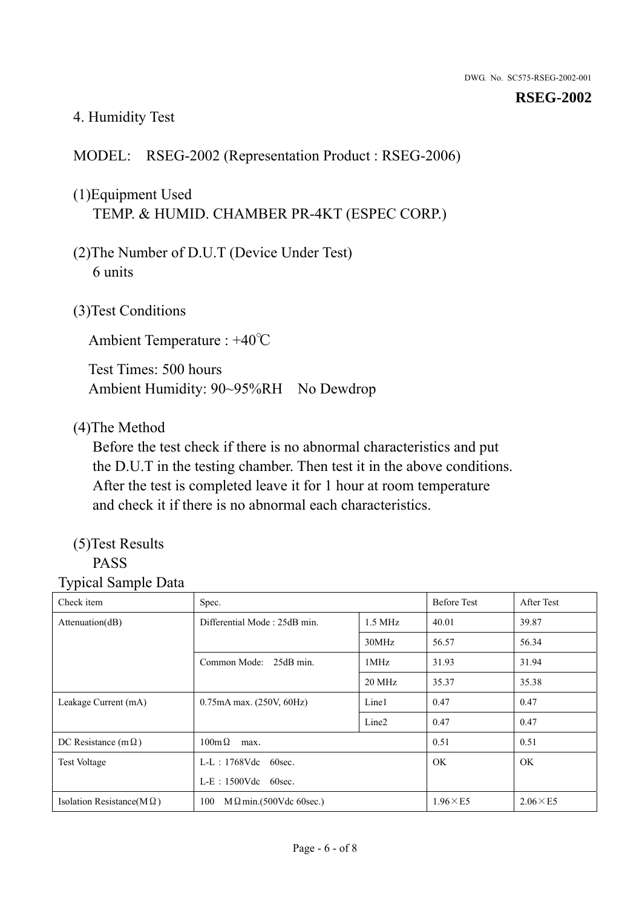## 4. Humidity Test

## MODEL: RSEG-2002 (Representation Product : RSEG-2006)

## (1)Equipment Used TEMP. & HUMID. CHAMBER PR-4KT (ESPEC CORP.)

- (2)The Number of D.U.T (Device Under Test) 6 units
- (3)Test Conditions

Ambient Temperature : +40℃

Test Times: 500 hours Ambient Humidity: 90~95%RH No Dewdrop

#### (4)The Method

Before the test check if there is no abnormal characteristics and put the D.U.T in the testing chamber. Then test it in the above conditions. After the test is completed leave it for 1 hour at room temperature and check it if there is no abnormal each characteristics.

## (5)Test Results

## PASS

| . .<br>Check item                 | Spec.                                     |                   | <b>Before Test</b> | After Test      |
|-----------------------------------|-------------------------------------------|-------------------|--------------------|-----------------|
| Attention(dB)                     | Differential Mode: 25dB min.<br>$1.5$ MHz |                   | 40.01              | 39.87           |
|                                   |                                           | 30MHz             | 56.57              | 56.34           |
|                                   | Common Mode: 25dB min.                    | 1MHz              | 31.93              | 31.94           |
|                                   |                                           | 20 MHz            | 35.37              | 35.38           |
| Leakage Current (mA)              | 0.75mA max. (250V, 60Hz)                  | Line1             | 0.47               | 0.47            |
|                                   |                                           | Line <sub>2</sub> | 0.47               | 0.47            |
| DC Resistance (m $\Omega$ )       | $100m\Omega$<br>max.                      |                   | 0.51               | 0.51            |
| <b>Test Voltage</b>               | $L-L$ : 1768Vdc 60sec.                    |                   | <b>OK</b>          | OK.             |
|                                   | $L-E$ : 1500Vdc 60sec.                    |                   |                    |                 |
| Isolation Resistance( $M\Omega$ ) | 100<br>$M \Omega$ min.(500Vdc 60sec.)     |                   | $1.96\times E5$    | $2.06\times E5$ |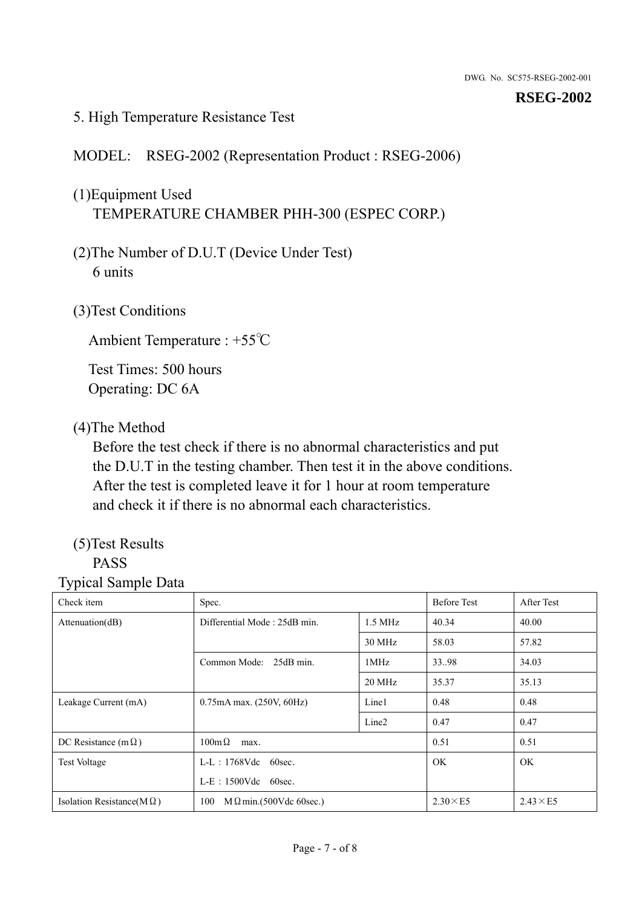### 5. High Temperature Resistance Test

## MODEL: RSEG-2002 (Representation Product : RSEG-2006)

## (1)Equipment Used TEMPERATURE CHAMBER PHH-300 (ESPEC CORP.)

- (2)The Number of D.U.T (Device Under Test) 6 units
- (3)Test Conditions

Ambient Temperature : +55℃

Test Times: 500 hours Operating: DC 6A

### (4)The Method

Before the test check if there is no abnormal characteristics and put the D.U.T in the testing chamber. Then test it in the above conditions. After the test is completed leave it for 1 hour at room temperature and check it if there is no abnormal each characteristics.

## (5)Test Results

## PASS

| Check item                        | Spec.                                 |                   | <b>Before Test</b> | After Test      |
|-----------------------------------|---------------------------------------|-------------------|--------------------|-----------------|
| Attenuation(dB)                   | Differential Mode: 25dB min.          | $1.5$ MHz         |                    | 40.00           |
|                                   |                                       | 30 MHz            | 58.03              | 57.82           |
|                                   | Common Mode: 25dB min.                | 1MHz              | 33.98              | 34.03           |
|                                   |                                       | 20 MHz            | 35.37              | 35.13           |
| Leakage Current (mA)              | 0.75mA max. (250V, 60Hz)              | Line1             | 0.48               | 0.48            |
|                                   |                                       | Line <sub>2</sub> | 0.47               | 0.47            |
| DC Resistance (m $\Omega$ )       | $100 \text{m}\,\Omega$<br>max.        |                   | 0.51               | 0.51            |
| <b>Test Voltage</b>               | $L-L$ : 1768Vdc 60sec.                |                   | OK.                | OK.             |
|                                   | $L-E$ : 1500Vdc 60sec.                |                   |                    |                 |
| Isolation Resistance(M $\Omega$ ) | $M \Omega$ min.(500Vdc 60sec.)<br>100 |                   | $2.30\times E5$    | $2.43\times E5$ |